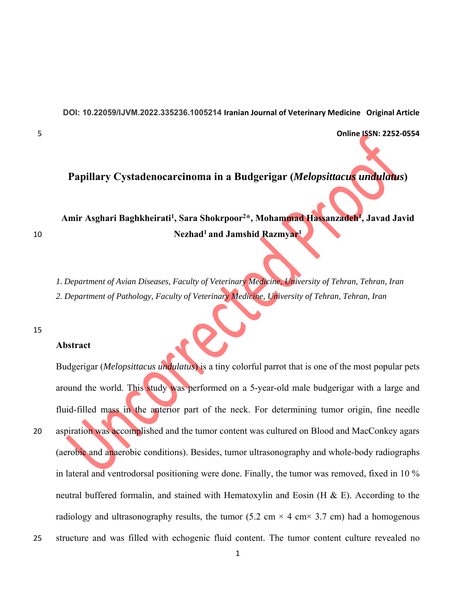**DOI: 10.22059/IJVM.2022.335236.1005214 Iranian Journal of Veterinary Medicine Original Article** 

5 **Online ISSN: 2252‐0554**

# **Papillary Cystadenocarcinoma in a Budgerigar (***Melopsittacus undulatus***)**

**Amir Asghari Baghkheirati1, Sara Shokrpoor2\*, Mohammad Hassanzadeh1, Javad Javid Nezhad1 and Jamshid Razmyar1** 10

*1. Department of Avian Diseases, Faculty of Veterinary Medicine, University of Tehran, Tehran, Iran 2. Department of Pathology, Faculty of Veterinary Medicine, University of Tehran, Tehran, Iran*

#### 15

#### **Abstract**

Budgerigar (*Melopsittacus undulatus*) is a tiny colorful parrot that is one of the most popular pets around the world. This study was performed on a 5-year-old male budgerigar with a large and fluid-filled mass in the anterior part of the neck. For determining tumor origin, fine needle 20 aspiration was accomplished and the tumor content was cultured on Blood and MacConkey agars (aerobic and anaerobic conditions). Besides, tumor ultrasonography and whole-body radiographs in lateral and ventrodorsal positioning were done. Finally, the tumor was removed, fixed in 10 % neutral buffered formalin, and stained with Hematoxylin and Eosin (H & E). According to the radiology and ultrasonography results, the tumor (5.2 cm  $\times$  4 cm $\times$  3.7 cm) had a homogenous 25 structure and was filled with echogenic fluid content. The tumor content culture revealed no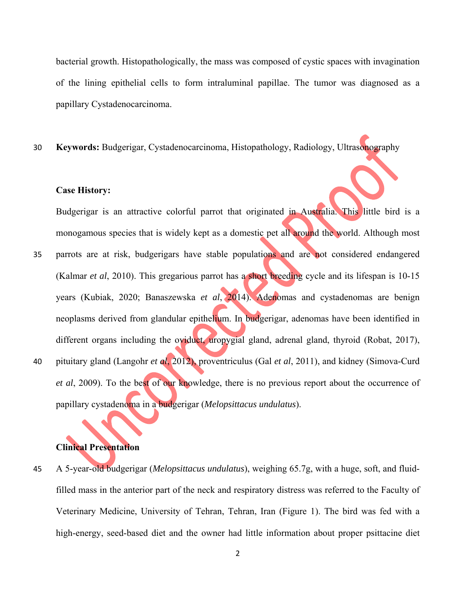bacterial growth. Histopathologically, the mass was composed of cystic spaces with invagination of the lining epithelial cells to form intraluminal papillae. The tumor was diagnosed as a papillary Cystadenocarcinoma.

30 **Keywords:** Budgerigar, Cystadenocarcinoma, Histopathology, Radiology, Ultrasonography

#### **Case History:**

Budgerigar is an attractive colorful parrot that originated in Australia. This little bird is a monogamous species that is widely kept as a domestic pet all around the world. Although most

- 35 parrots are at risk, budgerigars have stable populations and are not considered endangered (Kalmar *et al*, 2010). This gregarious parrot has a short breeding cycle and its lifespan is 10-15 years (Kubiak, 2020; Banaszewska *et al*, 2014). Adenomas and cystadenomas are benign neoplasms derived from glandular epithelium. In budgerigar, adenomas have been identified in different organs including the oviduct, uropygial gland, adrenal gland, thyroid (Robat, 2017), 40 pituitary gland (Langohr *et al*, 2012), proventriculus (Gal *et al*, 2011), and kidney (Simova‐Curd
- *et al*, 2009). To the best of our knowledge, there is no previous report about the occurrence of papillary cystadenoma in a budgerigar (*Melopsittacus undulatus*).

## **Clinical Presentation**

45 A 5-year-old budgerigar (*Melopsittacus undulatus*), weighing 65.7g, with a huge, soft, and fluidfilled mass in the anterior part of the neck and respiratory distress was referred to the Faculty of Veterinary Medicine, University of Tehran, Tehran, Iran (Figure 1). The bird was fed with a high-energy, seed-based diet and the owner had little information about proper psittacine diet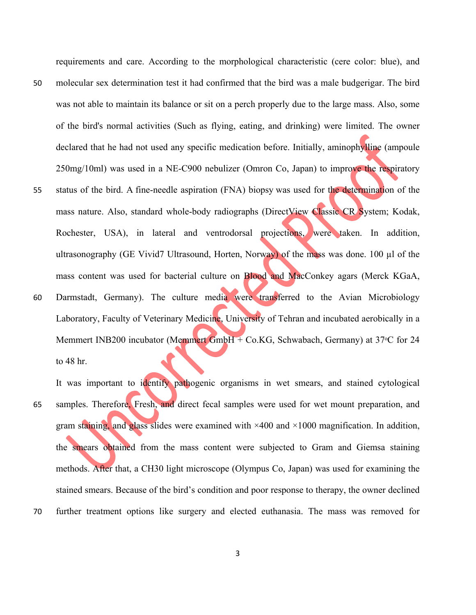requirements and care. According to the morphological characteristic (cere color: blue), and 50 molecular sex determination test it had confirmed that the bird was a male budgerigar. The bird was not able to maintain its balance or sit on a perch properly due to the large mass. Also, some of the bird's normal activities (Such as flying, eating, and drinking) were limited. The owner declared that he had not used any specific medication before. Initially, aminophylline (ampoule 250mg/10ml) was used in a NE-C900 nebulizer (Omron Co, Japan) to improve the respiratory 55 status of the bird. A fine-needle aspiration (FNA) biopsy was used for the determination of the mass nature. Also, standard whole-body radiographs (DirectView Classic CR System; Kodak, Rochester, USA), in lateral and ventrodorsal projections, were taken. In addition, ultrasonography (GE Vivid7 Ultrasound, Horten, Norway) of the mass was done. 100 µl of the mass content was used for bacterial culture on Blood and MacConkey agars (Merck KGaA, 60 Darmstadt, Germany). The culture media were transferred to the Avian Microbiology Laboratory, Faculty of Veterinary Medicine, University of Tehran and incubated aerobically in a Memmert INB200 incubator (Memmert GmbH + Co.KG, Schwabach, Germany) at  $37^{\circ}$ C for 24 to 48 hr.

It was important to identify pathogenic organisms in wet smears, and stained cytological 65 samples. Therefore, Fresh, and direct fecal samples were used for wet mount preparation, and gram staining, and glass slides were examined with  $\times$ 400 and  $\times$ 1000 magnification. In addition, the smears obtained from the mass content were subjected to Gram and Giemsa staining methods. After that, a CH30 light microscope (Olympus Co, Japan) was used for examining the stained smears. Because of the bird's condition and poor response to therapy, the owner declined 70 further treatment options like surgery and elected euthanasia. The mass was removed for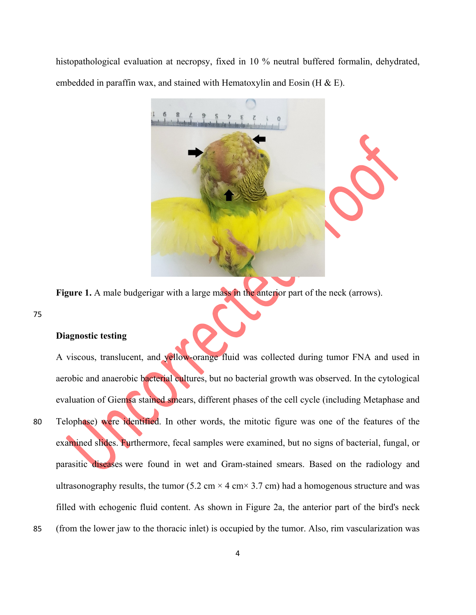histopathological evaluation at necropsy, fixed in 10 % neutral buffered formalin, dehydrated, embedded in paraffin wax, and stained with Hematoxylin and Eosin (H  $\&$  E).



Figure 1. A male budgerigar with a large mass in the anterior part of the neck (arrows).

75

### **Diagnostic testing**

A viscous, translucent, and yellow-orange fluid was collected during tumor FNA and used in aerobic and anaerobic bacterial cultures, but no bacterial growth was observed. In the cytological evaluation of Giemsa stained smears, different phases of the cell cycle (including Metaphase and 80 Telophase) were identified. In other words, the mitotic figure was one of the features of the examined slides. Furthermore, fecal samples were examined, but no signs of bacterial, fungal, or parasitic diseases were found in wet and Gram-stained smears. Based on the radiology and ultrasonography results, the tumor (5.2 cm  $\times$  4 cm $\times$  3.7 cm) had a homogenous structure and was filled with echogenic fluid content. As shown in Figure 2a, the anterior part of the bird's neck 85 (from the lower jaw to the thoracic inlet) is occupied by the tumor. Also, rim vascularization was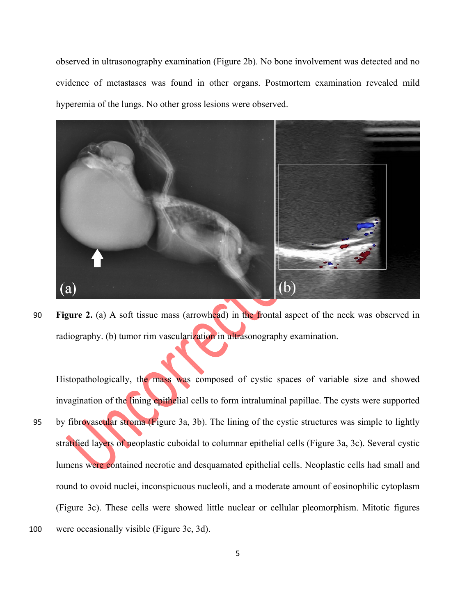observed in ultrasonography examination (Figure 2b). No bone involvement was detected and no evidence of metastases was found in other organs. Postmortem examination revealed mild hyperemia of the lungs. No other gross lesions were observed.



90 **Figure 2.** (a) A soft tissue mass (arrowhead) in the frontal aspect of the neck was observed in radiography. (b) tumor rim vascularization in ultrasonography examination.

Histopathologically, the mass was composed of cystic spaces of variable size and showed invagination of the lining epithelial cells to form intraluminal papillae. The cysts were supported 95 by fibrovascular stroma (Figure 3a, 3b). The lining of the cystic structures was simple to lightly stratified layers of neoplastic cuboidal to columnar epithelial cells (Figure 3a, 3c). Several cystic lumens were contained necrotic and desquamated epithelial cells. Neoplastic cells had small and round to ovoid nuclei, inconspicuous nucleoli, and a moderate amount of eosinophilic cytoplasm (Figure 3c). These cells were showed little nuclear or cellular pleomorphism. Mitotic figures 100 were occasionally visible (Figure 3c, 3d).

5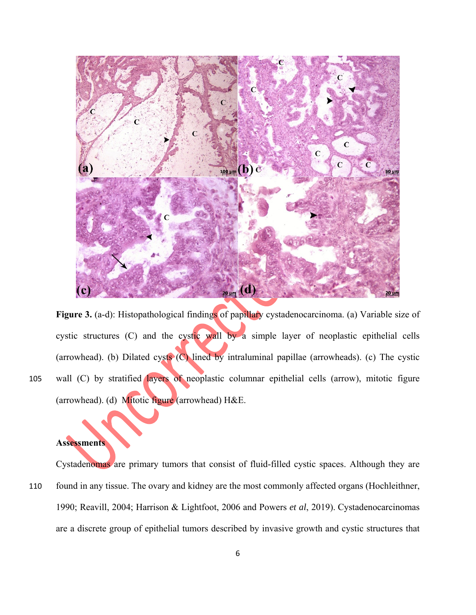

Figure 3. (a-d): Histopathological findings of papillary cystadenocarcinoma. (a) Variable size of cystic structures (C) and the cystic wall by a simple layer of neoplastic epithelial cells (arrowhead). (b) Dilated cysts  $(C)$  lined by intraluminal papillae (arrowheads). (c) The cystic 105 wall (C) by stratified layers of neoplastic columnar epithelial cells (arrow), mitotic figure (arrowhead). (d) Mitotic figure (arrowhead) H&E.

# **Assessments**

Cystadenomas are primary tumors that consist of fluid-filled cystic spaces. Although they are 110 found in any tissue. The ovary and kidney are the most commonly affected organs (Hochleithner, 1990; Reavill, 2004; Harrison & Lightfoot, 2006 and Powers *et al*, 2019). Cystadenocarcinomas are a discrete group of epithelial tumors described by invasive growth and cystic structures that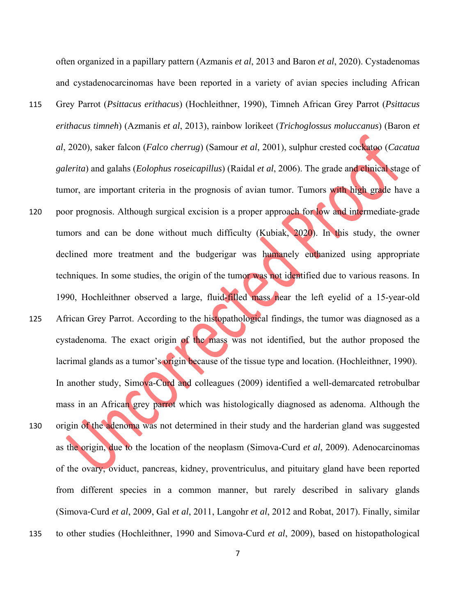often organized in a papillary pattern (Azmanis *et al*, 2013 and Baron *et al*, 2020). Cystadenomas and cystadenocarcinomas have been reported in a variety of avian species including African 115 Grey Parrot (*Psittacus erithacus*) (Hochleithner, 1990), Timneh African Grey Parrot (*Psittacus* 

- *erithacus timneh*) (Azmanis *et al*, 2013), rainbow lorikeet (*Trichoglossus moluccanus*) (Baron *et al*, 2020), saker falcon (*Falco cherrug*) (Samour *et al*, 2001), sulphur crested cockatoo (*Cacatua galerita*) and galahs (*Eolophus roseicapillus*) (Raidal *et al*, 2006). The grade and clinical stage of tumor, are important criteria in the prognosis of avian tumor. Tumors with high grade have a
- 120 poor prognosis. Although surgical excision is a proper approach for low and intermediate-grade tumors and can be done without much difficulty (Kubiak, 2020). In this study, the owner declined more treatment and the budgerigar was humanely euthanized using appropriate techniques. In some studies, the origin of the tumor was not identified due to various reasons. In 1990, Hochleithner observed a large, fluid-filled mass near the left eyelid of a 15-year-old
- 125 African Grey Parrot. According to the histopathological findings, the tumor was diagnosed as a cystadenoma. The exact origin of the mass was not identified, but the author proposed the lacrimal glands as a tumor's origin because of the tissue type and location. (Hochleithner, 1990). In another study, Simova-Curd and colleagues (2009) identified a well-demarcated retrobulbar mass in an African grey parrot which was histologically diagnosed as adenoma. Although the 130 origin of the adenoma was not determined in their study and the harderian gland was suggested as the origin, due to the location of the neoplasm (Simova-Curd *et al*, 2009). Adenocarcinomas of the ovary, oviduct, pancreas, kidney, proventriculus, and pituitary gland have been reported from different species in a common manner, but rarely described in salivary glands (Simova-Curd *et al*, 2009, Gal *et al*, 2011, Langohr *et al*, 2012 and Robat, 2017). Finally, similar
- 135 to other studies (Hochleithner, 1990 and Simova-Curd *et al*, 2009), based on histopathological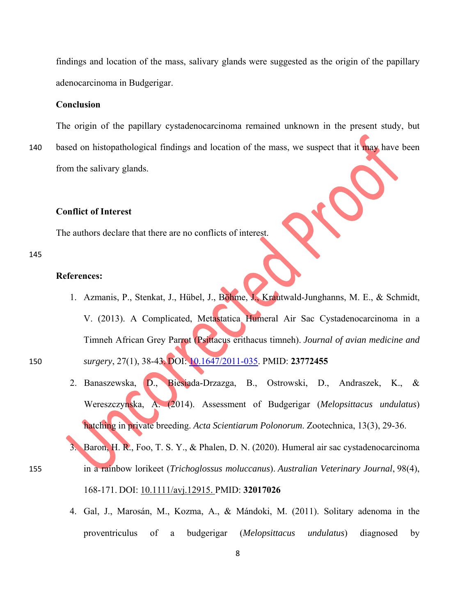findings and location of the mass, salivary glands were suggested as the origin of the papillary adenocarcinoma in Budgerigar.

#### **Conclusion**

The origin of the papillary cystadenocarcinoma remained unknown in the present study, but

140 based on histopathological findings and location of the mass, we suspect that it may have been from the salivary glands.

## **Conflict of Interest**

The authors declare that there are no conflicts of interest.

#### 145

#### **References:**

- 1. Azmanis, P., Stenkat, J., Hübel, J., Böhme, J., Krautwald-Junghanns, M. E., & Schmidt, V. (2013). A Complicated, Metastatica Humeral Air Sac Cystadenocarcinoma in a Timneh African Grey Parrot (Psittacus erithacus timneh). *Journal of avian medicine and*  150 *surgery*, 27(1), 38-43. DOI: 10.1647/2011-035. PMID: **23772455**
	- 2. Banaszewska, D., Biesiada-Drzazga, B., Ostrowski, D., Andraszek, K., & Wereszczynska, A. (2014). Assessment of Budgerigar (*Melopsittacus undulatus*) hatching in private breeding. *Acta Scientiarum Polonorum*. Zootechnica, 13(3), 29-36.
- 3. Baron, H. R., Foo, T. S. Y., & Phalen, D. N. (2020). Humeral air sac cystadenocarcinoma 155 in a rainbow lorikeet (*Trichoglossus moluccanus*). *Australian Veterinary Journal*, 98(4), 168-171. DOI: 10.1111/avj.12915. PMID: **32017026**
	- 4. Gal, J., Marosán, M., Kozma, A., & Mándoki, M. (2011). Solitary adenoma in the proventriculus of a budgerigar (*Melopsittacus undulatus*) diagnosed by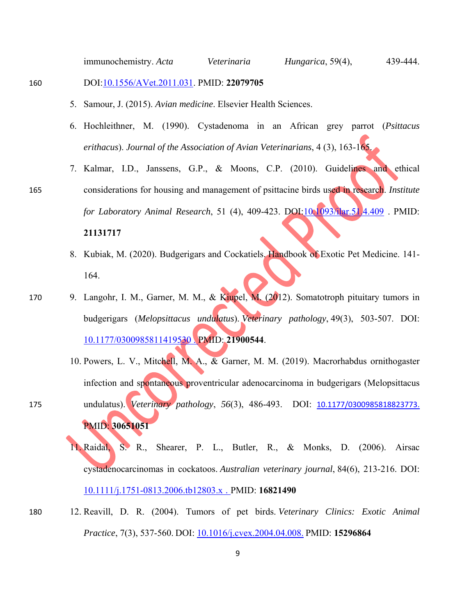immunochemistry. *Acta Veterinaria Hungarica*, 59(4), 439-444.

### 160 DOI:10.1556/AVet.2011.031. PMID: **22079705**

- 5. Samour, J. (2015). *Avian medicine*. Elsevier Health Sciences.
- 6. Hochleithner, M. (1990). Cystadenoma in an African grey parrot (*Psittacus erithacus*). *Journal of the Association of Avian Veterinarians*, 4 (3), 163-165.
- 7. Kalmar, I.D., Janssens, G.P., & Moons, C.P. (2010). Guidelines and ethical 165 considerations for housing and management of psittacine birds used in research. *Institute for Laboratory Animal Research*, 51 (4), 409-423. DOI:10.1093/ilar.51.4.409 . PMID: **21131717**
	- 8. Kubiak, M. (2020). Budgerigars and Cockatiels. Handbook of Exotic Pet Medicine. 141- 164.
- 170 9. Langohr, I. M., Garner, M. M., & Kiupel, M. (2012). Somatotroph pituitary tumors in budgerigars (*Melopsittacus undulatus*). *Veterinary pathology*, 49(3), 503-507. DOI: 10.1177/0300985811419530 . PMID: **21900544**.
- 10. Powers, L. V., Mitchell, M. A., & Garner, M. M. (2019). Macrorhabdus ornithogaster infection and spontaneous proventricular adenocarcinoma in budgerigars (Melopsittacus 175 undulatus). *Veterinary pathology*, *56*(3), 486-493. DOI: 10.1177/0300985818823773. PMID: **30651051**

11. Raidal, S. R., Shearer, P. L., Butler, R., & Monks, D. (2006). Airsac cystadenocarcinomas in cockatoos. *Australian veterinary journal*, 84(6), 213-216. DOI: 10.1111/j.1751-0813.2006.tb12803.x . PMID: **16821490**

180 12. Reavill, D. R. (2004). Tumors of pet birds. *Veterinary Clinics: Exotic Animal Practice*, 7(3), 537-560. DOI: 10.1016/j.cvex.2004.04.008. PMID: **15296864**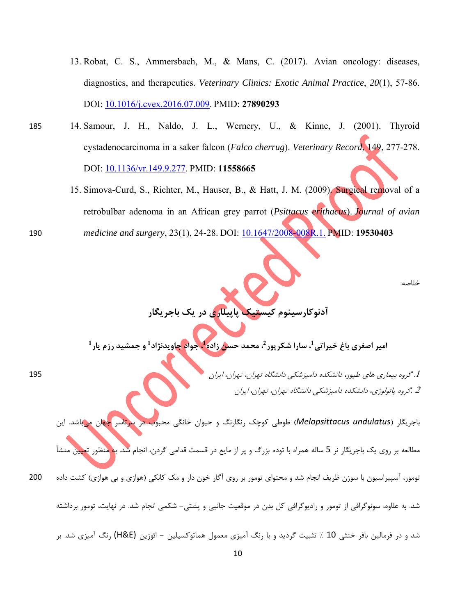- 13. Robat, C. S., Ammersbach, M., & Mans, C. (2017). Avian oncology: diseases, diagnostics, and therapeutics. *Veterinary Clinics: Exotic Animal Practice*, *20*(1), 57-86. DOI: 10.1016/j.cvex.2016.07.009. PMID: **27890293**
- 185 14. Samour, J. H., Naldo, J. L., Wernery, U., & Kinne, J. (2001). Thyroid cystadenocarcinoma in a saker falcon (*Falco cherrug*). *Veterinary Record*, 149, 277-278. DOI: 10.1136/vr.149.9.277. PMID: **11558665**
- 15. Simova-Curd, S., Richter, M., Hauser, B., & Hatt, J. M. (2009). Surgical removal of a retrobulbar adenoma in an African grey parrot (*Psittacus erithacus*). *Journal of avian*  190 *medicine and surgery*, 23(1), 24-28. DOI: 10.1647/2008-008R.1. PMID: **19530403**

خلاصه:

**آدنوكارسينوم كيستيك پاپيلاري در يك باجريگار** 

امیر اصغری باغ خیراتی<sup>1</sup>، سارا شکرپور<sup>2</sup>، محمد حس<mark>ن</mark> زاده<sup>1</sup>، جواد <mark>چاویدنژاد<sup>1</sup> و جمشید رزم یار<sup>1</sup></mark>

.1 گروه بيماري هاي طيور، دانشكده دامپزشكي دانشگاه تهران، تهران، ايران 195 <sup>2</sup> *.*گروه پاتولوژي، دانشكده دامپزشكي دانشگاه تهران، تهران، ايران

باجريگار (*undulatus Melopsittacus* (طوطي كوچك رنگارنگ و حيوان خانگي محبوب در سرتاسر جهان ميباشد. اين

مطالعه بر روی يک باجريگار نر 5 ساله همراه با توده بزرگ و پر از مايع در قسمت قدامي گردن، انجام شد. ب<mark>ه منظور تعي</mark>

تومور، آسپيراسيون با سوزن ظريف انجام شد و محتواي تومور بر روي آگار خون دار و مك كانكي (هوازي و بي هوازي) كشت داده 200

شد و در فرمالين بافر خنثي 10 % تثبيت گرديد و با رنگ آميزي معمول هماتوكسيلين **-** ائوزين (E&H (رنگ آميزي شد. بر